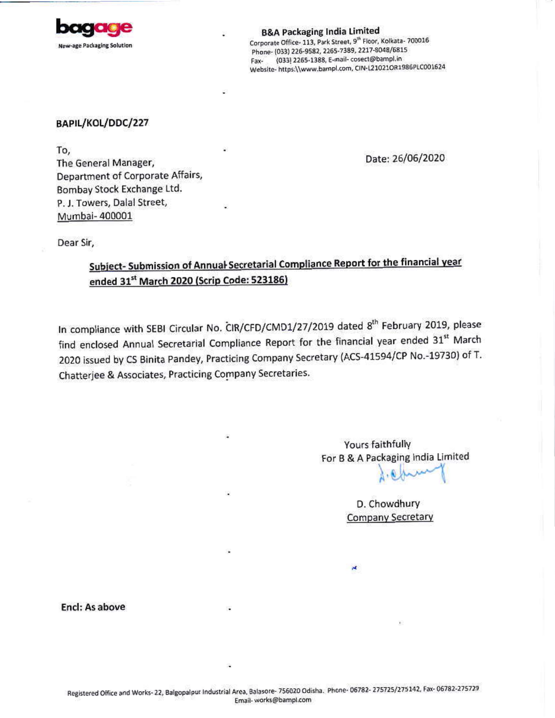

**B&A Packaging India Limited** Corporate Office- 113, Park Street, 9<sup>th</sup> Floor, Kolkata- 700016 Phone- (033) 226-9582, 2265-7389, 2217-8048/6815 Fax- (033) 2265-1388, E-mail-cosect@bampl.in Website- https://www.bampl.com, CIN-L21021OR1986PLC001624

## BAPIL/KOL/DDC/227

To, The General Manager, Department of Corporate Affairs, Bombay Stock Exchange Ltd. P. J. Towers, Dalal Street, Mumbai-400001

Date: 26/06/2020

Dear Sir,

# Subject- Submission of Annual Secretarial Compliance Report for the financial year ended 31<sup>st</sup> March 2020 (Scrip Code: 523186)

In compliance with SEBI Circular No. CIR/CFD/CMD1/27/2019 dated 8<sup>th</sup> February 2019, please find enclosed Annual Secretarial Compliance Report for the financial year ended 31st March 2020 issued by CS Binita Pandey, Practicing Company Secretary (ACS-41594/CP No.-19730) of T. Chatterjee & Associates, Practicing Company Secretaries.

> Yours faithfully For B & A Packaging India Limited

> > D. Chowdhury **Company Secretary**

Encl: As above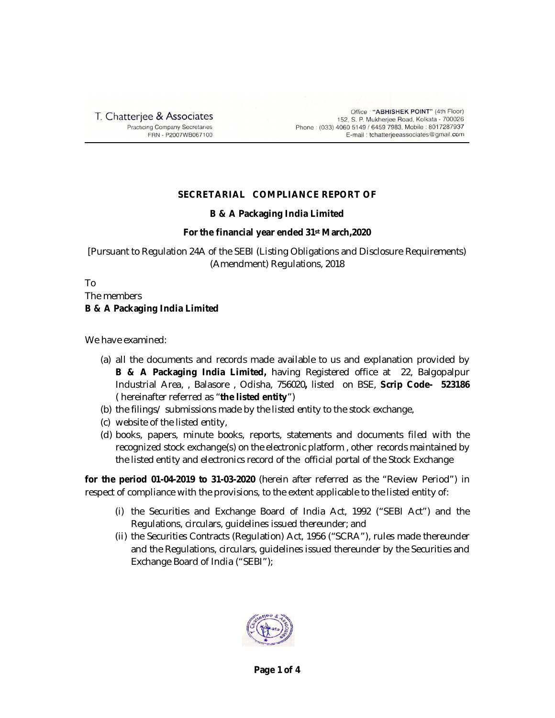T. Chatterjee & Associates **Practicing Company Secretaries** FRN - P2007WB067100

Office: "ABHISHEK POINT" (4th Floor) 152, S. P. Mukherjee Road, Kolkata - 700026 Phone: (033) 4060 5149 / 6459 7983, Mobile: 8017287937 E-mail: tchatterjeeassociates@gmail.com

## **SECRETARIAL COMPLIANCE REPORT OF**

### **B & A Packaging India Limited**

### **For the financial year ended 31st March,2020**

[Pursuant to Regulation 24A of the SEBI (Listing Obligations and Disclosure Requirements) (Amendment) Regulations, 2018

To

The members **B & A Packaging India Limited**

We have examined:

- (a) all the documents and records made available to us and explanation provided by **B & A Packaging India Limited,** having Registered office at 22, Balgopalpur Industrial Area, , Balasore , Odisha, 756020**,** listed on BSE, **Scrip Code- 523186** ( hereinafter referred as "**the listed entity**")
- (b) the filings/ submissions made by the listed entity to the stock exchange,
- (c) website of the listed entity,
- (d) books, papers, minute books, reports, statements and documents filed with the recognized stock exchange(s) on the electronic platform , other records maintained by the listed entity and electronics record of the official portal of the Stock Exchange

**for the period 01-04-2019 to 31-03-2020** (herein after referred as the "Review Period") in respect of compliance with the provisions, to the extent applicable to the listed entity of:

- (i) the Securities and Exchange Board of India Act, 1992 ("SEBI Act") and the Regulations, circulars, guidelines issued thereunder; and
- (ii) the Securities Contracts (Regulation) Act, 1956 ("SCRA"), rules made thereunder and the Regulations, circulars, guidelines issued thereunder by the Securities and Exchange Board of India ("SEBI");

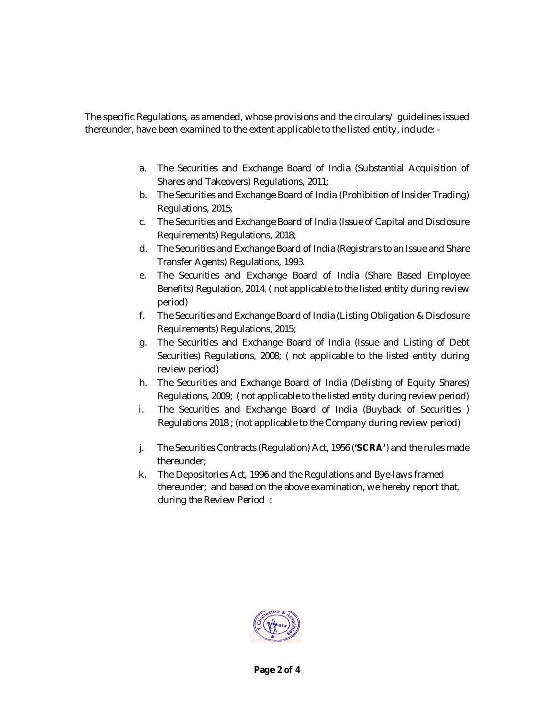The specific Regulations, as amended, whose provisions and the circulars/ guidelines issued thereunder, have been examined to the extent applicable to the listed entity, include: -

- a. The Securities and Exchange Board of India (Substantial Acquisition of Shares and Takeovers) Regulations, 2011;
- b. The Securities and Exchange Board of India (Prohibition of Insider Trading) Regulations, 2015;
- c. The Securities and Exchange Board of India (Issue of Capital and Disclosure Requirements) Regulations, 2018;
- d. The Securities and Exchange Board of India (Registrars to an Issue and Share Transfer Agents) Regulations, 1993.
- e. The Securities and Exchange Board of India (Share Based Employee Benefits) Regulation, 2014. ( not applicable to the listed entity during review period)
- f. The Securities and Exchange Board of India (Listing Obligation & Disclosure Requirements) Regulations, 2015;
- g. The Securities and Exchange Board of India (Issue and Listing of Debt Securities) Regulations, 2008; ( not applicable to the listed entity during review period)
- h. The Securities and Exchange Board of India (Delisting of Equity Shares) Regulations, 2009; ( not applicable to the listed entity during review period)
- i. The Securities and Exchange Board of India (Buyback of Securities ) Regulations 2018 ; (not applicable to the Company during review period)
- j. The Securities Contracts (Regulation) Act, 1956 (**'SCRA'**) and the rules made thereunder;
- k. The Depositories Act, 1996 and the Regulations and Bye-laws framed thereunder; and based on the above examination, we hereby report that, during the Review Period :

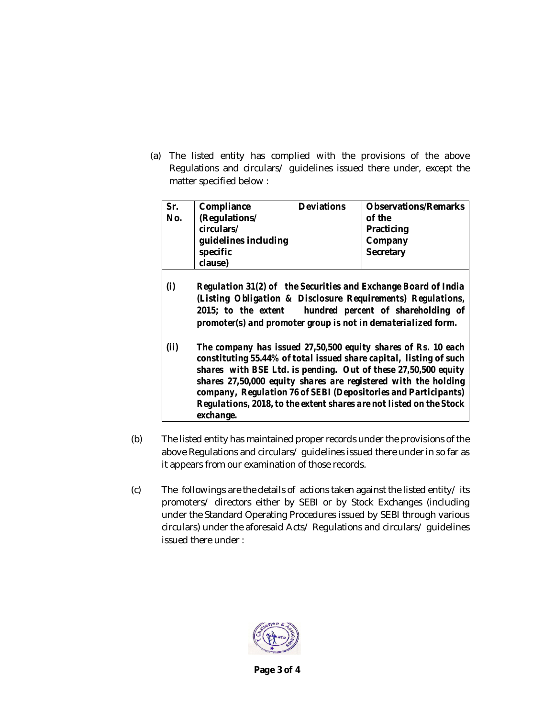(a) The listed entity has complied with the provisions of the above Regulations and circulars/ guidelines issued there under, except the matter specified below :

| Sr. | Compliance           | <b>Deviations</b> | <b>Observations/Remarks</b> |
|-----|----------------------|-------------------|-----------------------------|
|     |                      |                   |                             |
| No. | (Regulations/        |                   | of the                      |
|     | circulars/           |                   | Practicing                  |
|     | guidelines including |                   | Company                     |
|     | specific             |                   | Secretary                   |
|     | clause)              |                   |                             |

- *(i) Regulation 31(2) of the Securities and Exchange Board of India (Listing Obligation & Disclosure Requirements) Regulations, 2015; to the extent hundred percent of shareholding of promoter(s) and promoter group is not in dematerialized form.*
- *(ii) The company has issued 27,50,500 equity shares of Rs. 10 each constituting 55.44% of total issued share capital, listing of such shares with BSE Ltd. is pending. Out of these 27,50,500 equity shares 27,50,000 equity shares are registered with the holding company, Regulation 76 of SEBI (Depositories and Participants) Regulations, 2018, to the extent shares are not listed on the Stock exchange.*
- (b) The listed entity has maintained proper records under the provisions of the above Regulations and circulars/ guidelines issued there under in so far as it appears from our examination of those records.
- $(c)$  The followings are the details of actions taken against the listed entity its promoters/ directors either by SEBI or by Stock Exchanges (including under the Standard Operating Procedures issued by SEBI through various circulars) under the aforesaid Acts/ Regulations and circulars/ guidelines issued there under :



**Page 3 of 4**